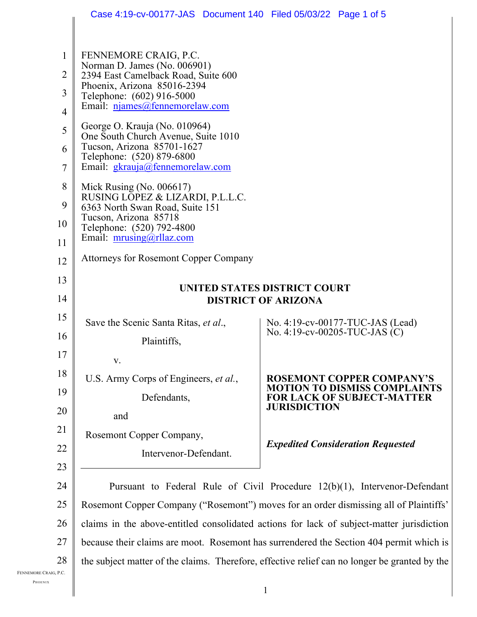|                                                                           | Case 4:19-cv-00177-JAS  Document 140  Filed 05/03/22  Page 1 of 5                                                                                                                                                                                                                                                                                                                            |                                                                               |  |
|---------------------------------------------------------------------------|----------------------------------------------------------------------------------------------------------------------------------------------------------------------------------------------------------------------------------------------------------------------------------------------------------------------------------------------------------------------------------------------|-------------------------------------------------------------------------------|--|
| $\mathbf{1}$<br>$\overline{2}$<br>3<br>$\overline{4}$<br>5<br>6<br>7<br>8 | FENNEMORE CRAIG, P.C.<br>Norman D. James (No. 006901)<br>2394 East Camelback Road, Suite 600<br>Phoenix, Arizona 85016-2394<br>Telephone: (602) 916-5000<br>Email: njames@fennemorelaw.com<br>George O. Krauja (No. 010964)<br>One South Church Avenue, Suite 1010<br>Tucson, Arizona 85701-1627<br>Telephone: (520) 879-6800<br>Email: gkrauja@fennemorelaw.com<br>Mick Rusing (No. 006617) |                                                                               |  |
| 9                                                                         | RUSING LOPEZ & LIZARDI, P.L.L.C.<br>6363 North Swan Road, Suite 151                                                                                                                                                                                                                                                                                                                          |                                                                               |  |
| 10                                                                        | Tucson, Arizona 85718<br>Telephone: (520) 792-4800                                                                                                                                                                                                                                                                                                                                           |                                                                               |  |
| 11                                                                        | Email: $mrusing@rllaz.com$                                                                                                                                                                                                                                                                                                                                                                   |                                                                               |  |
| 12                                                                        | <b>Attorneys for Rosemont Copper Company</b>                                                                                                                                                                                                                                                                                                                                                 |                                                                               |  |
| 13                                                                        | UNITED STATES DISTRICT COURT<br><b>DISTRICT OF ARIZONA</b>                                                                                                                                                                                                                                                                                                                                   |                                                                               |  |
| 14                                                                        |                                                                                                                                                                                                                                                                                                                                                                                              |                                                                               |  |
| 15                                                                        | Save the Scenic Santa Ritas, et al.,                                                                                                                                                                                                                                                                                                                                                         | No. 4:19-cv-00177-TUC-JAS (Lead)                                              |  |
| 16                                                                        | Plaintiffs,                                                                                                                                                                                                                                                                                                                                                                                  | No. 4:19-cv-00205-TUC-JAS $(C)$                                               |  |
| 17                                                                        | v.                                                                                                                                                                                                                                                                                                                                                                                           |                                                                               |  |
| 18                                                                        | U.S. Army Corps of Engineers, et al.,                                                                                                                                                                                                                                                                                                                                                        | <b>ROSEMONT COPPER COMPANY'S</b>                                              |  |
| 19                                                                        | Defendants,                                                                                                                                                                                                                                                                                                                                                                                  | O DISMISS COMI<br>OF SUBJECT-MATTER                                           |  |
| 20                                                                        | and                                                                                                                                                                                                                                                                                                                                                                                          | <b>JURISDICTION</b>                                                           |  |
| 21                                                                        | Rosemont Copper Company,                                                                                                                                                                                                                                                                                                                                                                     |                                                                               |  |
| 22                                                                        | Intervenor-Defendant.                                                                                                                                                                                                                                                                                                                                                                        | <b>Expedited Consideration Requested</b>                                      |  |
| 23                                                                        |                                                                                                                                                                                                                                                                                                                                                                                              |                                                                               |  |
| 24                                                                        |                                                                                                                                                                                                                                                                                                                                                                                              | Pursuant to Federal Rule of Civil Procedure $12(b)(1)$ , Intervenor-Defendant |  |
| 25                                                                        | Rosemont Copper Company ("Rosemont") moves for an order dismissing all of Plaintiffs'                                                                                                                                                                                                                                                                                                        |                                                                               |  |
| 26                                                                        | claims in the above-entitled consolidated actions for lack of subject-matter jurisdiction                                                                                                                                                                                                                                                                                                    |                                                                               |  |
| 27                                                                        | because their claims are moot. Rosemont has surrendered the Section 404 permit which is                                                                                                                                                                                                                                                                                                      |                                                                               |  |
| 28                                                                        | the subject matter of the claims. Therefore, effective relief can no longer be granted by the                                                                                                                                                                                                                                                                                                |                                                                               |  |

FENNEMORE CRAIG, P.C.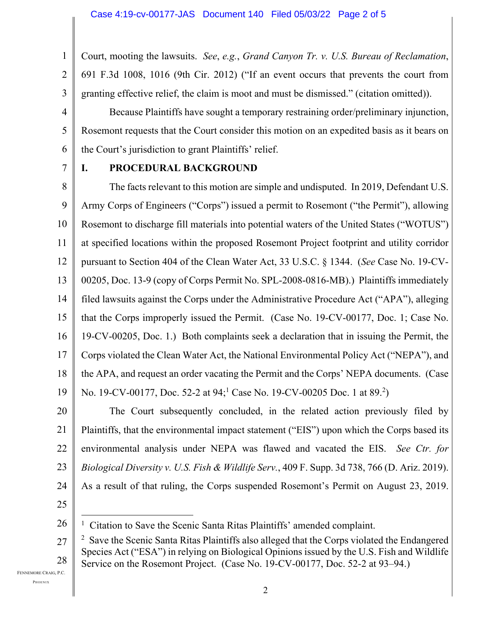2 Court, mooting the lawsuits. *See*, *e.g.*, *Grand Canyon Tr. v. U.S. Bureau of Reclamation*, 691 F.3d 1008, 1016 (9th Cir. 2012) ("If an event occurs that prevents the court from granting effective relief, the claim is moot and must be dismissed." (citation omitted)).

Because Plaintiffs have sought a temporary restraining order/preliminary injunction, Rosemont requests that the Court consider this motion on an expedited basis as it bears on the Court's jurisdiction to grant Plaintiffs' relief.

7

1

3

4

5

6

## **I. PROCEDURAL BACKGROUND**

8 9 10 11 12 13 14 15 16 17 18 19 The facts relevant to this motion are simple and undisputed. In 2019, Defendant U.S. Army Corps of Engineers ("Corps") issued a permit to Rosemont ("the Permit"), allowing Rosemont to discharge fill materials into potential waters of the United States ("WOTUS") at specified locations within the proposed Rosemont Project footprint and utility corridor pursuant to Section 404 of the Clean Water Act, 33 U.S.C. § 1344. (*See* Case No. 19-CV-00205, Doc. 13-9 (copy of Corps Permit No. SPL-2008-0816-MB).) Plaintiffs immediately filed lawsuits against the Corps under the Administrative Procedure Act ("APA"), alleging that the Corps improperly issued the Permit. (Case No. 19-CV-00177, Doc. 1; Case No. 19-CV-00205, Doc. 1.) Both complaints seek a declaration that in issuing the Permit, the Corps violated the Clean Water Act, the National Environmental Policy Act ("NEPA"), and the APA, and request an order vacating the Permit and the Corps' NEPA documents. (Case No. 19-CV-00177, Doc. 52-2 at 94;<sup>1</sup> Case No. 19-CV-00205 Doc. 1 at 89.<sup>2</sup>)

20 21 22 23 24 The Court subsequently concluded, in the related action previously filed by Plaintiffs, that the environmental impact statement ("EIS") upon which the Corps based its environmental analysis under NEPA was flawed and vacated the EIS. *See Ctr. for Biological Diversity v. U.S. Fish & Wildlife Serv.*, 409 F. Supp. 3d 738, 766 (D. Ariz. 2019). As a result of that ruling, the Corps suspended Rosemont's Permit on August 23, 2019.

25

FENNEMORE CRAIG, P.C.

<sup>26</sup> <sup>1</sup> Citation to Save the Scenic Santa Ritas Plaintiffs' amended complaint.

<sup>27</sup> 28  $2\,$  Save the Scenic Santa Ritas Plaintiffs also alleged that the Corps violated the Endangered Species Act ("ESA") in relying on Biological Opinions issued by the U.S. Fish and Wildlife Service on the Rosemont Project. (Case No. 19-CV-00177, Doc. 52-2 at 93–94.)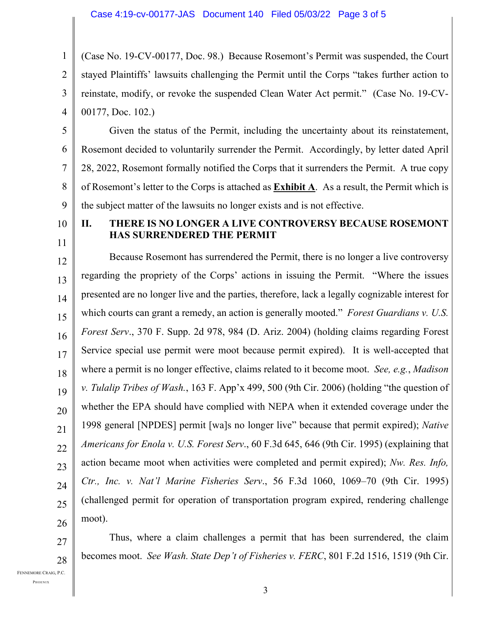1 2 3 4 (Case No. 19-CV-00177, Doc. 98.) Because Rosemont's Permit was suspended, the Court stayed Plaintiffs' lawsuits challenging the Permit until the Corps "takes further action to reinstate, modify, or revoke the suspended Clean Water Act permit." (Case No. 19-CV-00177, Doc. 102.)

5 6 7 8 9 Given the status of the Permit, including the uncertainty about its reinstatement, Rosemont decided to voluntarily surrender the Permit. Accordingly, by letter dated April 28, 2022, Rosemont formally notified the Corps that it surrenders the Permit. A true copy of Rosemont's letter to the Corps is attached as **Exhibit A**. As a result, the Permit which is the subject matter of the lawsuits no longer exists and is not effective.

10 11

## **II. THERE IS NO LONGER A LIVE CONTROVERSY BECAUSE ROSEMONT HAS SURRENDERED THE PERMIT**

12 13 14 15 16 17 18 19 20 21 22 23 24 25 26 Because Rosemont has surrendered the Permit, there is no longer a live controversy regarding the propriety of the Corps' actions in issuing the Permit. "Where the issues presented are no longer live and the parties, therefore, lack a legally cognizable interest for which courts can grant a remedy, an action is generally mooted." *Forest Guardians v. U.S. Forest Serv*., 370 F. Supp. 2d 978, 984 (D. Ariz. 2004) (holding claims regarding Forest Service special use permit were moot because permit expired). It is well-accepted that where a permit is no longer effective, claims related to it become moot. *See, e.g.*, *Madison v. Tulalip Tribes of Wash.*, 163 F. App'x 499, 500 (9th Cir. 2006) (holding "the question of whether the EPA should have complied with NEPA when it extended coverage under the 1998 general [NPDES] permit [wa]s no longer live" because that permit expired); *Native Americans for Enola v. U.S. Forest Serv*., 60 F.3d 645, 646 (9th Cir. 1995) (explaining that action became moot when activities were completed and permit expired); *Nw. Res. Info, Ctr., Inc. v. Nat'l Marine Fisheries Serv*., 56 F.3d 1060, 1069–70 (9th Cir. 1995) (challenged permit for operation of transportation program expired, rendering challenge moot).

Thus, where a claim challenges a permit that has been surrendered, the claim becomes moot. *See Wash. State Dep't of Fisheries v. FERC*, 801 F.2d 1516, 1519 (9th Cir.

FENNEMORE CRAIG, P.C.

27

28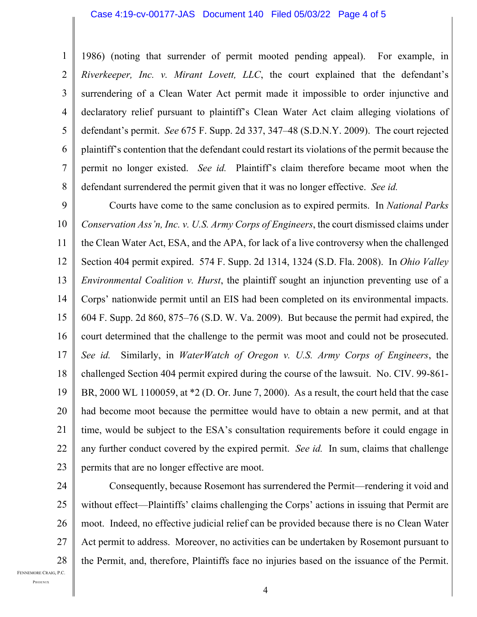#### Case 4:19-cv-00177-JAS Document 140 Filed 05/03/22 Page 4 of 5

1 2 3 4 5 6 7 8 1986) (noting that surrender of permit mooted pending appeal). For example, in *Riverkeeper, Inc. v. Mirant Lovett, LLC*, the court explained that the defendant's surrendering of a Clean Water Act permit made it impossible to order injunctive and declaratory relief pursuant to plaintiff's Clean Water Act claim alleging violations of defendant's permit. *See* 675 F. Supp. 2d 337, 347–48 (S.D.N.Y. 2009). The court rejected plaintiff's contention that the defendant could restart its violations of the permit because the permit no longer existed. *See id.* Plaintiff's claim therefore became moot when the defendant surrendered the permit given that it was no longer effective. *See id.*

9 10 11 12 13 14 15 16 17 18 19 20 21 22 23 Courts have come to the same conclusion as to expired permits. In *National Parks Conservation Ass'n, Inc. v. U.S. Army Corps of Engineers*, the court dismissed claims under the Clean Water Act, ESA, and the APA, for lack of a live controversy when the challenged Section 404 permit expired. 574 F. Supp. 2d 1314, 1324 (S.D. Fla. 2008). In *Ohio Valley Environmental Coalition v. Hurst*, the plaintiff sought an injunction preventing use of a Corps' nationwide permit until an EIS had been completed on its environmental impacts. 604 F. Supp. 2d 860, 875–76 (S.D. W. Va. 2009). But because the permit had expired, the court determined that the challenge to the permit was moot and could not be prosecuted. *See id.* Similarly, in *WaterWatch of Oregon v. U.S. Army Corps of Engineers*, the challenged Section 404 permit expired during the course of the lawsuit. No. CIV. 99-861- BR, 2000 WL 1100059, at \*2 (D. Or. June 7, 2000). As a result, the court held that the case had become moot because the permittee would have to obtain a new permit, and at that time, would be subject to the ESA's consultation requirements before it could engage in any further conduct covered by the expired permit. *See id.* In sum, claims that challenge permits that are no longer effective are moot.

24

25 26 27 28 Consequently, because Rosemont has surrendered the Permit—rendering it void and without effect—Plaintiffs' claims challenging the Corps' actions in issuing that Permit are moot. Indeed, no effective judicial relief can be provided because there is no Clean Water Act permit to address. Moreover, no activities can be undertaken by Rosemont pursuant to the Permit, and, therefore, Plaintiffs face no injuries based on the issuance of the Permit.

FENNEMORE CRAIG, P.C.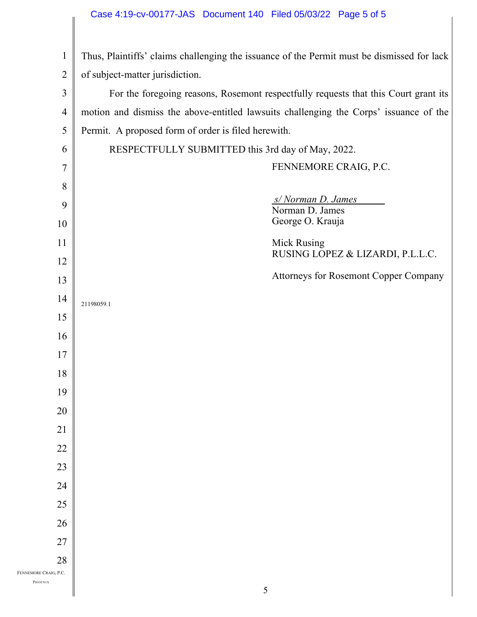# Case 4:19-cv-00177-JAS Document 140 Filed 05/03/22 Page 5 of 5

| $\mathbf{1}$          | Thus, Plaintiffs' claims challenging the issuance of the Permit must be dismissed for lack |  |  |
|-----------------------|--------------------------------------------------------------------------------------------|--|--|
| $\overline{2}$        | of subject-matter jurisdiction.                                                            |  |  |
| $\mathfrak{Z}$        | For the foregoing reasons, Rosemont respectfully requests that this Court grant its        |  |  |
| $\overline{4}$        | motion and dismiss the above-entitled lawsuits challenging the Corps' issuance of the      |  |  |
| 5                     | Permit. A proposed form of order is filed herewith.                                        |  |  |
| 6                     | RESPECTFULLY SUBMITTED this 3rd day of May, 2022.                                          |  |  |
| $\overline{7}$        | FENNEMORE CRAIG, P.C.                                                                      |  |  |
| 8                     |                                                                                            |  |  |
| 9                     | s/Norman D. James<br>Norman D. James                                                       |  |  |
| 10                    | George O. Krauja                                                                           |  |  |
| 11                    | <b>Mick Rusing</b>                                                                         |  |  |
| 12                    | RUSING LOPEZ & LIZARDI, P.L.L.C.                                                           |  |  |
| 13                    | <b>Attorneys for Rosemont Copper Company</b>                                               |  |  |
| 14                    | 21198059.1                                                                                 |  |  |
| 15                    |                                                                                            |  |  |
| 16                    |                                                                                            |  |  |
| 17                    |                                                                                            |  |  |
| 18                    |                                                                                            |  |  |
| 19                    |                                                                                            |  |  |
| 20                    |                                                                                            |  |  |
| 21                    |                                                                                            |  |  |
| 22                    |                                                                                            |  |  |
| 23                    |                                                                                            |  |  |
| 24                    |                                                                                            |  |  |
| 25                    |                                                                                            |  |  |
| 26                    |                                                                                            |  |  |
| 27<br>28              |                                                                                            |  |  |
| FENNEMORE CRAIG, P.C. |                                                                                            |  |  |
| PHOENIX               | 5                                                                                          |  |  |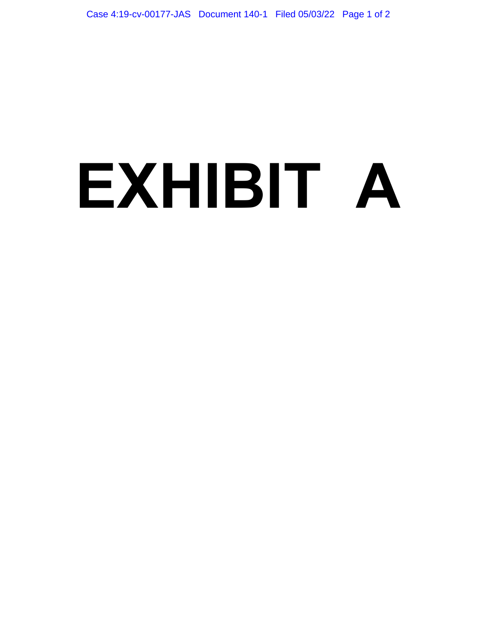# **EXHIBIT A**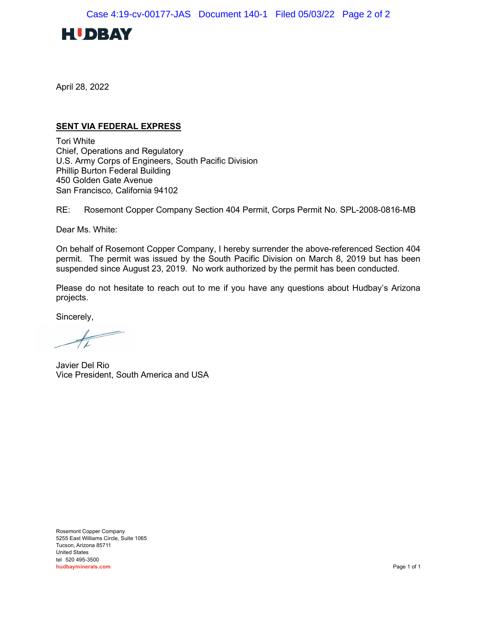

April 28, 2022

### SENT VIA FEDERAL EXPRESS

Tori White Chief, Operations and Regulatory U.S. Army Corps of Engineers, South Pacific Division Phillip Burton Federal Building 450 Golden Gate Avenue San Francisco, California 94102

RE: Rosemont Copper Company Section 404 Permit, Corps Permit No. SPL-2008-0816-MB

Dear Ms. White:

On behalf of Rosemont Copper Company, I hereby surrender the above-referenced Section 404 permit. The permit was issued by the South Pacific Division on March 8, 2019 but has been suspended since August 23, 2019. No work authorized by the permit has been conducted.

Please do not hesitate to reach out to me if you have any questions about Hudbay's Arizona projects.

Sincerely,

 $\overline{\phantom{a}}$ 

Javier Del Rio Vice President, South America and USA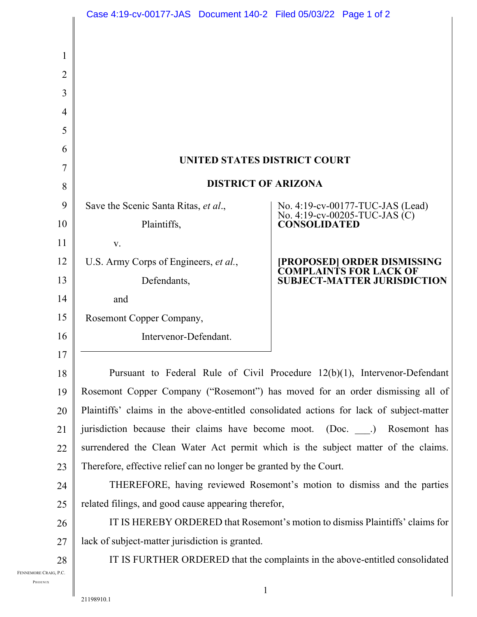|                                  | Case 4:19-cv-00177-JAS  Document 140-2  Filed 05/03/22  Page 1 of 2                      |                                                                                          |  |
|----------------------------------|------------------------------------------------------------------------------------------|------------------------------------------------------------------------------------------|--|
|                                  |                                                                                          |                                                                                          |  |
| 1                                |                                                                                          |                                                                                          |  |
| $\overline{2}$                   |                                                                                          |                                                                                          |  |
| 3                                |                                                                                          |                                                                                          |  |
| $\overline{4}$                   |                                                                                          |                                                                                          |  |
| 5                                |                                                                                          |                                                                                          |  |
| 6                                |                                                                                          |                                                                                          |  |
| $\overline{7}$                   | UNITED STATES DISTRICT COURT                                                             |                                                                                          |  |
| 8                                | <b>DISTRICT OF ARIZONA</b>                                                               |                                                                                          |  |
| 9                                | Save the Scenic Santa Ritas, et al.,                                                     | No. 4:19-cv-00177-TUC-JAS (Lead)<br>No. 4:19-cv-00205-TUC-JAS (C)<br><b>CONSOLIDATED</b> |  |
| 10                               | Plaintiffs,                                                                              |                                                                                          |  |
| 11                               | V.                                                                                       |                                                                                          |  |
| 12                               | U.S. Army Corps of Engineers, et al.,                                                    | [PROPOSED] ORDER DISMISSING<br>COMPLAINTS FOR LACK OF                                    |  |
| 13                               | Defendants,                                                                              | <b>SUBJECT-MATTER JURISDICTION</b>                                                       |  |
| 14                               | and                                                                                      |                                                                                          |  |
| 15                               | Rosemont Copper Company,                                                                 |                                                                                          |  |
| 16                               | Intervenor-Defendant.                                                                    |                                                                                          |  |
| 17                               |                                                                                          |                                                                                          |  |
| 18                               | Pursuant to Federal Rule of Civil Procedure $12(b)(1)$ , Intervenor-Defendant            |                                                                                          |  |
| 19                               | Rosemont Copper Company ("Rosemont") has moved for an order dismissing all of            |                                                                                          |  |
| 20                               | Plaintiffs' claims in the above-entitled consolidated actions for lack of subject-matter |                                                                                          |  |
| 21                               | jurisdiction because their claims have become moot. (Doc. ) Rosemont has                 |                                                                                          |  |
| 22                               | surrendered the Clean Water Act permit which is the subject matter of the claims.        |                                                                                          |  |
| 23                               | Therefore, effective relief can no longer be granted by the Court.                       |                                                                                          |  |
| 24                               | THEREFORE, having reviewed Rosemont's motion to dismiss and the parties                  |                                                                                          |  |
| 25                               | related filings, and good cause appearing therefor,                                      |                                                                                          |  |
| 26                               |                                                                                          | IT IS HEREBY ORDERED that Rosemont's motion to dismiss Plaintiffs' claims for            |  |
| 27                               | lack of subject-matter jurisdiction is granted.                                          |                                                                                          |  |
| 28                               |                                                                                          | IT IS FURTHER ORDERED that the complaints in the above-entitled consolidated             |  |
| FENNEMORE CRAIG, P.C.<br>PHOENIX |                                                                                          |                                                                                          |  |
|                                  | $\mathbf{1}$<br>21100010                                                                 |                                                                                          |  |